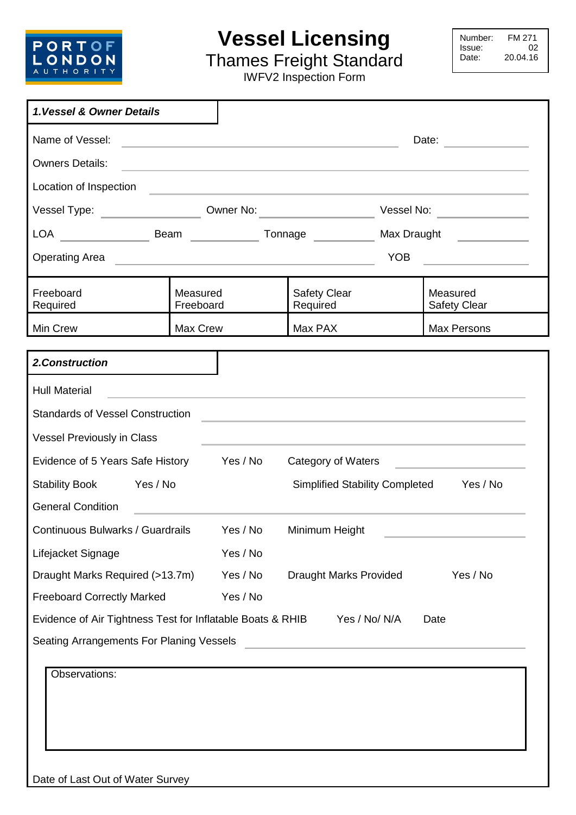

## **Vessel Licensing**

Number: FM 271<br>Issue: 02 Issue:<br>Date: 20.04.16

Thames Freight Standard IWFV2 Inspection Form

| 1. Vessel & Owner Details                                                                                                                                                                                                                                                                                                                                                                                                                                                                                                                                            |                       |                                       |                                                                                                                                                                                                                               |             |                                                                                                                        |
|----------------------------------------------------------------------------------------------------------------------------------------------------------------------------------------------------------------------------------------------------------------------------------------------------------------------------------------------------------------------------------------------------------------------------------------------------------------------------------------------------------------------------------------------------------------------|-----------------------|---------------------------------------|-------------------------------------------------------------------------------------------------------------------------------------------------------------------------------------------------------------------------------|-------------|------------------------------------------------------------------------------------------------------------------------|
| Name of Vessel:                                                                                                                                                                                                                                                                                                                                                                                                                                                                                                                                                      |                       |                                       |                                                                                                                                                                                                                               |             | Date:                                                                                                                  |
| <b>Owners Details:</b>                                                                                                                                                                                                                                                                                                                                                                                                                                                                                                                                               |                       |                                       | the control of the control of the control of the control of the control of the control of the control of the control of the control of the control of the control of the control of the control of the control of the control |             |                                                                                                                        |
| Location of Inspection                                                                                                                                                                                                                                                                                                                                                                                                                                                                                                                                               |                       |                                       | <u> 1989 - Johann John Stoff, deutscher Stoff, der Stoff, der Stoff, der Stoff, der Stoff, der Stoff, der Stoff, </u>                                                                                                         |             |                                                                                                                        |
| Vessel Type: _________________                                                                                                                                                                                                                                                                                                                                                                                                                                                                                                                                       |                       |                                       |                                                                                                                                                                                                                               |             | Vessel No:                                                                                                             |
| $\begin{array}{cccc}\n\text{LOA} & \begin{array}{cccc}\n\end{array} & \begin{array}{cccc}\n\end{array} & \begin{array}{cccc}\n\end{array} & \begin{array}{cccc}\n\end{array} & \begin{array}{cccc}\n\end{array} & \begin{array}{cccc}\n\end{array} & \begin{array}{cccc}\n\end{array} & \begin{array}{cccc}\n\end{array} & \begin{array}{cccc}\n\end{array} & \begin{array}{cccc}\n\end{array} & \begin{array}{cccc}\n\end{array} & \begin{array}{cccc}\n\end{array} & \begin{array}{cccc}\n\end{array} & \begin{array}{cccc}\n\end{array} & \begin{array}{cccc}\n\$ | Beam                  |                                       | Tonnage                                                                                                                                                                                                                       | Max Draught |                                                                                                                        |
| <b>Operating Area</b>                                                                                                                                                                                                                                                                                                                                                                                                                                                                                                                                                |                       |                                       | <u> 1989 - Johann John Stein, mars et al. 1989 - Anna ann an t-Amhain ann an t-Amhain ann an t-Amhain ann an t-A</u>                                                                                                          | <b>YOB</b>  | <u> 1990 - John Stein, mars and de Branch and de Branch and de Branch and de Branch and de Branch and de Branch an</u> |
| Freeboard<br>Required                                                                                                                                                                                                                                                                                                                                                                                                                                                                                                                                                | Measured<br>Freeboard |                                       | <b>Safety Clear</b><br>Required                                                                                                                                                                                               |             | Measured<br><b>Safety Clear</b>                                                                                        |
| Min Crew                                                                                                                                                                                                                                                                                                                                                                                                                                                                                                                                                             | Max Crew              |                                       | Max PAX                                                                                                                                                                                                                       |             | Max Persons                                                                                                            |
| 2. Construction                                                                                                                                                                                                                                                                                                                                                                                                                                                                                                                                                      |                       |                                       |                                                                                                                                                                                                                               |             |                                                                                                                        |
| <b>Hull Material</b>                                                                                                                                                                                                                                                                                                                                                                                                                                                                                                                                                 |                       |                                       |                                                                                                                                                                                                                               |             |                                                                                                                        |
| <b>Standards of Vessel Construction</b>                                                                                                                                                                                                                                                                                                                                                                                                                                                                                                                              |                       |                                       |                                                                                                                                                                                                                               |             |                                                                                                                        |
| <b>Vessel Previously in Class</b>                                                                                                                                                                                                                                                                                                                                                                                                                                                                                                                                    |                       |                                       |                                                                                                                                                                                                                               |             |                                                                                                                        |
| Evidence of 5 Years Safe History                                                                                                                                                                                                                                                                                                                                                                                                                                                                                                                                     |                       | Yes / No                              | Category of Waters                                                                                                                                                                                                            |             |                                                                                                                        |
| <b>Stability Book</b><br>Yes / No                                                                                                                                                                                                                                                                                                                                                                                                                                                                                                                                    |                       | <b>Simplified Stability Completed</b> |                                                                                                                                                                                                                               | Yes / No    |                                                                                                                        |
| <b>General Condition</b>                                                                                                                                                                                                                                                                                                                                                                                                                                                                                                                                             |                       |                                       |                                                                                                                                                                                                                               |             |                                                                                                                        |
| Continuous Bulwarks / Guardrails                                                                                                                                                                                                                                                                                                                                                                                                                                                                                                                                     |                       | Yes / No                              | Minimum Height                                                                                                                                                                                                                |             |                                                                                                                        |
| Lifejacket Signage                                                                                                                                                                                                                                                                                                                                                                                                                                                                                                                                                   |                       | Yes / No                              |                                                                                                                                                                                                                               |             |                                                                                                                        |
| Draught Marks Required (>13.7m)                                                                                                                                                                                                                                                                                                                                                                                                                                                                                                                                      |                       | Yes / No                              | <b>Draught Marks Provided</b>                                                                                                                                                                                                 |             | Yes / No                                                                                                               |
| <b>Freeboard Correctly Marked</b>                                                                                                                                                                                                                                                                                                                                                                                                                                                                                                                                    |                       | Yes / No                              |                                                                                                                                                                                                                               |             |                                                                                                                        |
| Evidence of Air Tightness Test for Inflatable Boats & RHIB                                                                                                                                                                                                                                                                                                                                                                                                                                                                                                           |                       |                                       | Yes / No/ N/A                                                                                                                                                                                                                 |             | Date                                                                                                                   |
| Seating Arrangements For Planing Vessels                                                                                                                                                                                                                                                                                                                                                                                                                                                                                                                             |                       |                                       | <u> 1980 - Johann John Stone, markin film yn y brening yn y brening yn y brening yn y brening y brening yn y bre</u>                                                                                                          |             |                                                                                                                        |
| Observations:                                                                                                                                                                                                                                                                                                                                                                                                                                                                                                                                                        |                       |                                       |                                                                                                                                                                                                                               |             |                                                                                                                        |
|                                                                                                                                                                                                                                                                                                                                                                                                                                                                                                                                                                      |                       |                                       |                                                                                                                                                                                                                               |             |                                                                                                                        |
|                                                                                                                                                                                                                                                                                                                                                                                                                                                                                                                                                                      |                       |                                       |                                                                                                                                                                                                                               |             |                                                                                                                        |
|                                                                                                                                                                                                                                                                                                                                                                                                                                                                                                                                                                      |                       |                                       |                                                                                                                                                                                                                               |             |                                                                                                                        |
|                                                                                                                                                                                                                                                                                                                                                                                                                                                                                                                                                                      |                       |                                       |                                                                                                                                                                                                                               |             |                                                                                                                        |
| Date of Last Out of Water Survey                                                                                                                                                                                                                                                                                                                                                                                                                                                                                                                                     |                       |                                       |                                                                                                                                                                                                                               |             |                                                                                                                        |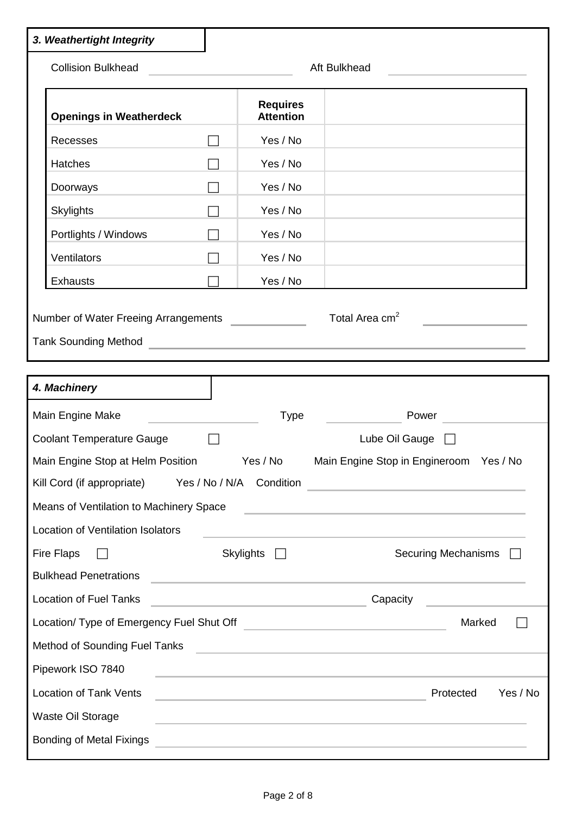| 3. Weathertight Integrity                                                                                       |        |                                     |                                                                                                                                                                                                                                                                    |
|-----------------------------------------------------------------------------------------------------------------|--------|-------------------------------------|--------------------------------------------------------------------------------------------------------------------------------------------------------------------------------------------------------------------------------------------------------------------|
| <b>Collision Bulkhead</b>                                                                                       |        |                                     | Aft Bulkhead                                                                                                                                                                                                                                                       |
| <b>Openings in Weatherdeck</b>                                                                                  |        | <b>Requires</b><br><b>Attention</b> |                                                                                                                                                                                                                                                                    |
| Recesses                                                                                                        |        | Yes / No                            |                                                                                                                                                                                                                                                                    |
| Hatches                                                                                                         |        | Yes / No                            |                                                                                                                                                                                                                                                                    |
| Doorways                                                                                                        | $\Box$ | Yes / No                            |                                                                                                                                                                                                                                                                    |
| <b>Skylights</b>                                                                                                |        | Yes / No                            |                                                                                                                                                                                                                                                                    |
| Portlights / Windows                                                                                            |        | Yes / No                            |                                                                                                                                                                                                                                                                    |
| Ventilators                                                                                                     |        | Yes / No                            |                                                                                                                                                                                                                                                                    |
| <b>Exhausts</b>                                                                                                 |        | Yes / No                            |                                                                                                                                                                                                                                                                    |
| Number of Water Freeing Arrangements                                                                            |        |                                     | Total Area cm <sup>2</sup><br>Tank Sounding Method <b>Contract Contract Contract Contract Contract Contract Contract Contract Contract Contract Contract Contract Contract Contract Contract Contract Contract Contract Contract Contract Contract Contract Co</b> |
| 4. Machinery                                                                                                    |        |                                     |                                                                                                                                                                                                                                                                    |
| Main Engine Make                                                                                                |        | Type                                | Power                                                                                                                                                                                                                                                              |
| <b>Coolant Temperature Gauge</b>                                                                                |        |                                     | Lube Oil Gauge $\Box$                                                                                                                                                                                                                                              |
|                                                                                                                 |        |                                     | Main Engine Stop at Helm Position Yes / No Main Engine Stop in Engineroom Yes / No                                                                                                                                                                                 |
| Kill Cord (if appropriate) Yes / No / N/A Condition                                                             |        |                                     | <u> Alexandria de la construcción de la construcción de la construcción de la construcción de la construcción de l</u>                                                                                                                                             |
| Means of Ventilation to Machinery Space                                                                         |        |                                     | <u> 1980 - Antonio Alemania, politikar politikar (h. 1980)</u>                                                                                                                                                                                                     |
| Location of Ventilation Isolators                                                                               |        |                                     | the control of the control of the control of the control of the control of the control of the control of the control of the control of the control of the control of the control of the control of the control of the control                                      |
| Fire Flaps                                                                                                      |        | Skylights $\Box$                    | Securing Mechanisms <b>F</b>                                                                                                                                                                                                                                       |
| <b>Bulkhead Penetrations</b>                                                                                    |        |                                     | <u> 1989 - Johann John Stone, markin film yn y brenin y brenin y brenin y brenin y brenin y brenin y brenin y br</u>                                                                                                                                               |
| <b>Location of Fuel Tanks</b>                                                                                   |        |                                     | Capacity<br><u> 1990 - Johann Barbara, martxa a</u>                                                                                                                                                                                                                |
| Location/ Type of Emergency Fuel Shut Off [Call Content Content Content Content Content Content Content Content |        |                                     | Marked                                                                                                                                                                                                                                                             |
| Method of Sounding Fuel Tanks                                                                                   |        |                                     | the contract of the contract of the contract of the contract of the contract of                                                                                                                                                                                    |
| Pipework ISO 7840                                                                                               |        |                                     |                                                                                                                                                                                                                                                                    |
| <b>Location of Tank Vents</b>                                                                                   |        |                                     | Protected<br>Yes / No                                                                                                                                                                                                                                              |
| Waste Oil Storage                                                                                               |        |                                     | <u> 1980 - Johann John Stein, marwolaethau (b. 1980)</u>                                                                                                                                                                                                           |
| <b>Bonding of Metal Fixings</b>                                                                                 |        |                                     | the control of the control of the control of the control of the control of the control of the control of the control of the control of the control of the control of the control of the control of the control of the control                                      |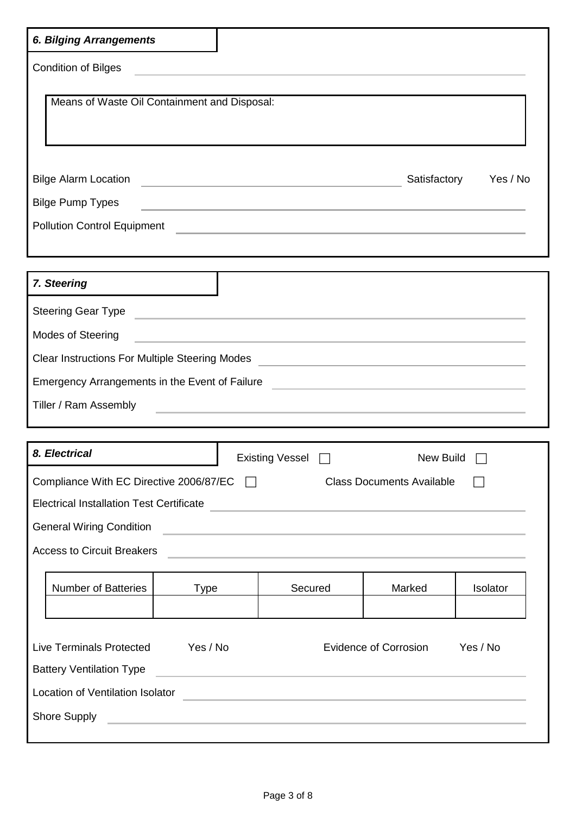| <b>6. Bilging Arrangements</b>                                                                                                                                                                                                       |  |                                                                                                                                                                                                                               |                                  |          |
|--------------------------------------------------------------------------------------------------------------------------------------------------------------------------------------------------------------------------------------|--|-------------------------------------------------------------------------------------------------------------------------------------------------------------------------------------------------------------------------------|----------------------------------|----------|
| <b>Condition of Bilges</b>                                                                                                                                                                                                           |  |                                                                                                                                                                                                                               |                                  |          |
| Means of Waste Oil Containment and Disposal:                                                                                                                                                                                         |  |                                                                                                                                                                                                                               |                                  |          |
|                                                                                                                                                                                                                                      |  |                                                                                                                                                                                                                               | Satisfactory                     | Yes / No |
| <b>Bilge Pump Types</b>                                                                                                                                                                                                              |  | the control of the control of the control of the control of the control of                                                                                                                                                    |                                  |          |
| <b>Pollution Control Equipment</b>                                                                                                                                                                                                   |  | <u> 1989 - Johann Barn, amerikansk politiker (d. 1989)</u>                                                                                                                                                                    |                                  |          |
| 7. Steering                                                                                                                                                                                                                          |  |                                                                                                                                                                                                                               |                                  |          |
| <b>Steering Gear Type</b>                                                                                                                                                                                                            |  |                                                                                                                                                                                                                               |                                  |          |
| Modes of Steering                                                                                                                                                                                                                    |  | <u> 1989 - Johann Harry Harry Harry Harry Harry Harry Harry Harry Harry Harry Harry Harry Harry Harry Harry Harry</u>                                                                                                         |                                  |          |
| Clear Instructions For Multiple Steering Modes _________________________________                                                                                                                                                     |  |                                                                                                                                                                                                                               |                                  |          |
| Emergency Arrangements in the Event of Failure <b>Construction and Construction</b> and the Event of Failure <b>Construction</b>                                                                                                     |  |                                                                                                                                                                                                                               |                                  |          |
| Tiller / Ram Assembly                                                                                                                                                                                                                |  | the control of the control of the control of the control of the control of the control of the control of the control of the control of the control of the control of the control of the control of the control of the control |                                  |          |
| 8. Electrical                                                                                                                                                                                                                        |  | Existing Vessel □                                                                                                                                                                                                             | New Build                        |          |
| Compliance With EC Directive 2006/87/EC $\Box$                                                                                                                                                                                       |  |                                                                                                                                                                                                                               | <b>Class Documents Available</b> |          |
| Electrical Installation Test Certificate <b>Community of the Community of the Community of the Community of the Community of the Community of the Community of the Community of the Community of the Community of the Community </b> |  |                                                                                                                                                                                                                               |                                  |          |
| <b>General Wiring Condition</b>                                                                                                                                                                                                      |  | <u> 1989 - Johann Stein, mars an deutscher Stein und der Stein und der Stein und der Stein und der Stein und der</u>                                                                                                          |                                  |          |
| <b>Access to Circuit Breakers</b>                                                                                                                                                                                                    |  |                                                                                                                                                                                                                               |                                  |          |
| <b>Number of Batteries</b><br><b>Type</b>                                                                                                                                                                                            |  | Secured                                                                                                                                                                                                                       | Marked                           | Isolator |
| <b>Live Terminals Protected</b><br>Yes / No<br><b>Battery Ventilation Type</b>                                                                                                                                                       |  | <u> 1989 - Johann Stein, markin sanat masjid ayyında bir alan sanat masjid ayyında bir alan sanat masjid ayyında</u>                                                                                                          | <b>Evidence of Corrosion</b>     | Yes / No |
| Location of Ventilation Isolator<br><u> 1989 - Johann Stein, markin sanat masjid ayyında bir alan sanat masjid ayyında bir alan sanat masjid ayyında</u>                                                                             |  |                                                                                                                                                                                                                               |                                  |          |
| Shore Supply                                                                                                                                                                                                                         |  | <u> 1980 - Johann Stoff, fransk politik (d. 1980)</u>                                                                                                                                                                         |                                  |          |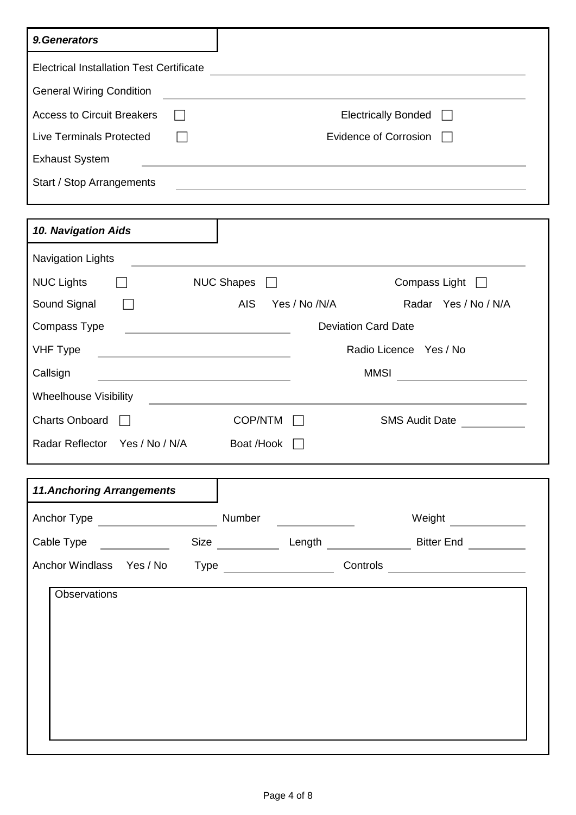| 9. Generators                                                                                                                        |                                                                                                                                                                                                                               |                                              |                                                             |  |
|--------------------------------------------------------------------------------------------------------------------------------------|-------------------------------------------------------------------------------------------------------------------------------------------------------------------------------------------------------------------------------|----------------------------------------------|-------------------------------------------------------------|--|
| <b>Electrical Installation Test Certificate</b>                                                                                      |                                                                                                                                                                                                                               |                                              |                                                             |  |
| <b>General Wiring Condition</b>                                                                                                      |                                                                                                                                                                                                                               |                                              |                                                             |  |
| <b>Access to Circuit Breakers</b>                                                                                                    |                                                                                                                                                                                                                               | <b>Electrically Bonded</b><br>$\mathbf{I}$   |                                                             |  |
| <b>Live Terminals Protected</b>                                                                                                      |                                                                                                                                                                                                                               | <b>Evidence of Corrosion</b><br>$\mathbf{I}$ |                                                             |  |
| <b>Exhaust System</b>                                                                                                                | the control of the control of the control of the control of the control of the control of the control of the control of the control of the control of the control of the control of the control of the control of the control |                                              |                                                             |  |
| Start / Stop Arrangements                                                                                                            |                                                                                                                                                                                                                               |                                              | <u> 1989 - Johann Stoff, amerikansk politiker (d. 1989)</u> |  |
|                                                                                                                                      |                                                                                                                                                                                                                               |                                              |                                                             |  |
| 10. Navigation Aids                                                                                                                  |                                                                                                                                                                                                                               |                                              |                                                             |  |
| <b>Navigation Lights</b>                                                                                                             |                                                                                                                                                                                                                               |                                              |                                                             |  |
| <b>NUC Lights</b>                                                                                                                    | <b>NUC Shapes</b>                                                                                                                                                                                                             |                                              | Compass Light                                               |  |
| Sound Signal                                                                                                                         | <b>AIS</b>                                                                                                                                                                                                                    | Yes / No /N/A                                | Radar Yes / No / N/A                                        |  |
| Compass Type<br><u> 1980 - John Harry Barn, mars and de Branch and de Branch and de Branch and de Branch and de Branch and de Br</u> |                                                                                                                                                                                                                               |                                              | <b>Deviation Card Date</b>                                  |  |
| <b>VHF Type</b><br>the control of the control of the control of the control of                                                       |                                                                                                                                                                                                                               |                                              | Radio Licence Yes / No                                      |  |
| Callsign<br><b>MMSI</b><br>the control of the control of the control of the control of                                               |                                                                                                                                                                                                                               |                                              |                                                             |  |
| <b>Wheelhouse Visibility</b>                                                                                                         |                                                                                                                                                                                                                               |                                              |                                                             |  |
| <b>Charts Onboard</b>                                                                                                                | <b>COP/NTM</b>                                                                                                                                                                                                                |                                              | <b>SMS Audit Date</b>                                       |  |
| Radar Reflector Yes / No / N/A                                                                                                       | Boat /Hook                                                                                                                                                                                                                    |                                              |                                                             |  |
|                                                                                                                                      |                                                                                                                                                                                                                               |                                              |                                                             |  |
| <b>11. Anchoring Arrangements</b>                                                                                                    |                                                                                                                                                                                                                               |                                              |                                                             |  |
| Anchor Type <b>Anchor Type</b>                                                                                                       | Number                                                                                                                                                                                                                        |                                              | Weight                                                      |  |
| Cable Type                                                                                                                           | Size and the state of the state of the state of the state of the state of the state of the state of the state                                                                                                                 | Length                                       | <b>Bitter End</b>                                           |  |
| Anchor Windlass Yes / No                                                                                                             |                                                                                                                                                                                                                               |                                              | Controls                                                    |  |
| Observations                                                                                                                         |                                                                                                                                                                                                                               |                                              |                                                             |  |
|                                                                                                                                      |                                                                                                                                                                                                                               |                                              |                                                             |  |
|                                                                                                                                      |                                                                                                                                                                                                                               |                                              |                                                             |  |
|                                                                                                                                      |                                                                                                                                                                                                                               |                                              |                                                             |  |
|                                                                                                                                      |                                                                                                                                                                                                                               |                                              |                                                             |  |
|                                                                                                                                      |                                                                                                                                                                                                                               |                                              |                                                             |  |
|                                                                                                                                      |                                                                                                                                                                                                                               |                                              |                                                             |  |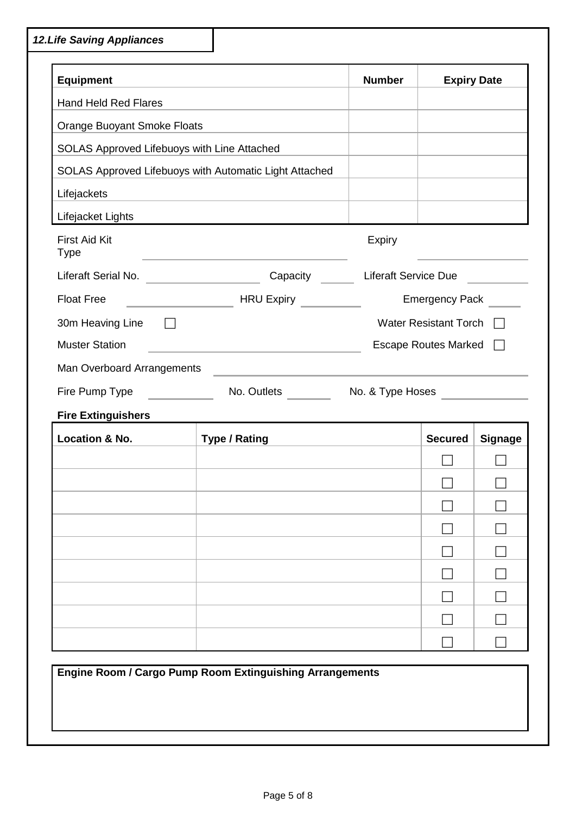*12.Life Saving Appliances* **Equipment Expiry Date** Hand Held Red Flares Orange Buoyant Smoke Floats SOLAS Approved Lifebuoys with Line Attached SOLAS Approved Lifebuoys with Automatic Light Attached Lifejackets Lifejacket Lights First Aid Kit Type Expiry Liferaft Serial No. \_\_\_\_\_\_\_\_\_\_\_\_\_\_\_\_\_\_\_\_\_\_\_\_Capacity \_\_\_\_\_\_\_\_Liferaft Service Due \_\_\_\_\_\_\_\_\_ Float Free **HRU Expiry Emergency Pack** 30m Heaving Line  $\Box$ Muster Station Escape Routes Marked Escape Routes Marked Escape Routes Marked E Man Overboard Arrangements Fire Pump Type No. Outlets No. & Type Hoses **Fire Extinguishers Location & No. Type / Rating Secured Signage**  $\Box$   $\Box$  $\Box$   $\Box$   $\Box$   $\Box$   $\Box$  $\Box$   $\Box$  $\Box$ **Engine Room / Cargo Pump Room Extinguishing Arrangements**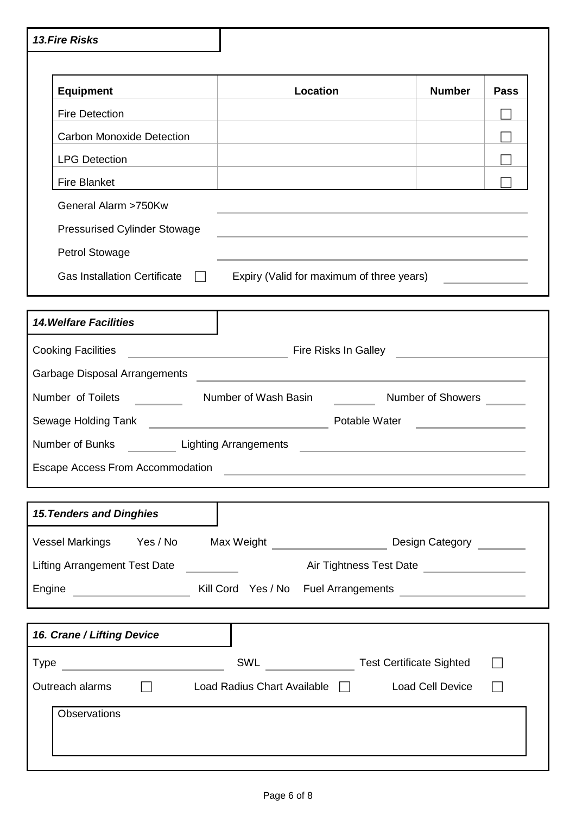| <b>13.Fire Risks</b>                                                                                                     |                                                                                                                       |                   |             |
|--------------------------------------------------------------------------------------------------------------------------|-----------------------------------------------------------------------------------------------------------------------|-------------------|-------------|
|                                                                                                                          |                                                                                                                       |                   |             |
| <b>Equipment</b>                                                                                                         | Location                                                                                                              | <b>Number</b>     | <b>Pass</b> |
| <b>Fire Detection</b>                                                                                                    |                                                                                                                       |                   |             |
| <b>Carbon Monoxide Detection</b>                                                                                         |                                                                                                                       |                   |             |
| <b>LPG Detection</b>                                                                                                     |                                                                                                                       |                   |             |
| <b>Fire Blanket</b>                                                                                                      |                                                                                                                       |                   |             |
| General Alarm >750Kw                                                                                                     | and the control of the control of the control of the control of the control of the control of the control of the      |                   |             |
| <b>Pressurised Cylinder Stowage</b>                                                                                      | <u> 1989 - Johann Stoff, amerikansk politiker (* 1908)</u>                                                            |                   |             |
| <b>Petrol Stowage</b>                                                                                                    |                                                                                                                       |                   |             |
| <b>Gas Installation Certificate</b><br>$\Box$                                                                            | Expiry (Valid for maximum of three years)                                                                             |                   |             |
|                                                                                                                          |                                                                                                                       |                   |             |
| <b>14. Welfare Facilities</b>                                                                                            |                                                                                                                       |                   |             |
| <b>Cooking Facilities</b>                                                                                                |                                                                                                                       |                   |             |
| Garbage Disposal Arrangements                                                                                            | <u> 1989 - John Stone, Amerikaansk politiker (* 1918)</u>                                                             |                   |             |
| Number of Toilets                                                                                                        | Number of Wash Basin                                                                                                  | Number of Showers |             |
| Sewage Holding Tank <b>Constant Construct Construct Constant Construct Construct Construct Construct Construct Const</b> | Potable Water                                                                                                         |                   |             |
| Number of Bunks                                                                                                          | <b>Lighting Arrangements</b>                                                                                          |                   |             |
| Escape Access From Accommodation                                                                                         |                                                                                                                       |                   |             |
|                                                                                                                          | <u> 1989 - Johann Harry Barn, mars ar breithinn ar breithinn an t-Alban ann an t-Alban ann an t-Alban ann an t-Al</u> |                   |             |
| <b>15. Tenders and Dinghies</b>                                                                                          |                                                                                                                       |                   |             |
|                                                                                                                          |                                                                                                                       |                   |             |
| Vessel Markings Yes / No                                                                                                 |                                                                                                                       | Design Category   |             |
| <b>Lifting Arrangement Test Date</b>                                                                                     | Air Tightness Test Date                                                                                               |                   |             |
| Engine                                                                                                                   |                                                                                                                       |                   |             |
|                                                                                                                          |                                                                                                                       |                   |             |
| 16. Crane / Lifting Device                                                                                               |                                                                                                                       |                   |             |
| the control of the control of the<br>Type                                                                                | SWL Test Certificate Sighted                                                                                          |                   |             |
| $\Box$<br>Outreach alarms                                                                                                | Load Radius Chart Available   Load Cell Device                                                                        |                   |             |
| Observations                                                                                                             |                                                                                                                       |                   |             |
|                                                                                                                          |                                                                                                                       |                   |             |
|                                                                                                                          |                                                                                                                       |                   |             |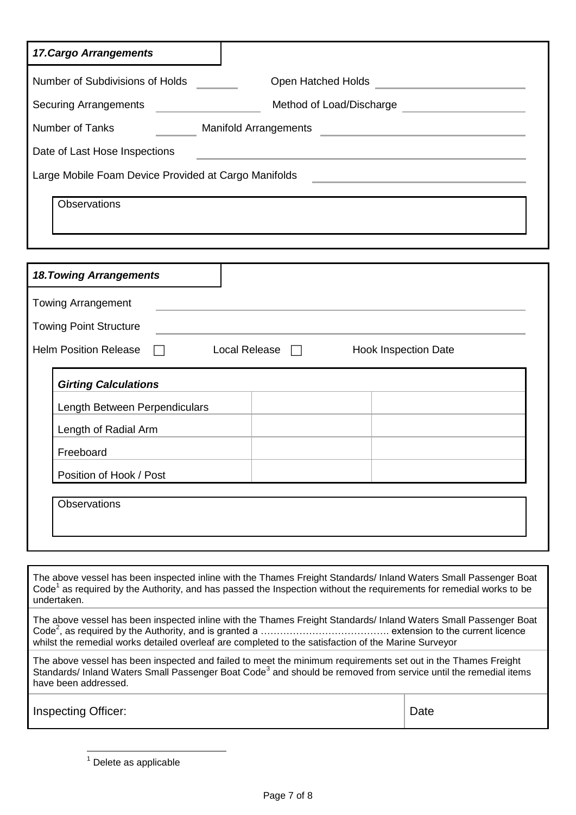| <b>17. Cargo Arrangements</b>                        |                              |
|------------------------------------------------------|------------------------------|
| Number of Subdivisions of Holds                      | Open Hatched Holds           |
| <b>Securing Arrangements</b>                         | Method of Load/Discharge     |
| <b>Number of Tanks</b>                               | <b>Manifold Arrangements</b> |
| Date of Last Hose Inspections                        |                              |
| Large Mobile Foam Device Provided at Cargo Manifolds |                              |
| Observations                                         |                              |
| 10 Touring Arrongomanto                              |                              |

| <b>Towing Arrangement</b>     |                      |                             |  |
|-------------------------------|----------------------|-----------------------------|--|
| <b>Towing Point Structure</b> |                      |                             |  |
| Helm Position Release □       | Local Release $\Box$ | <b>Hook Inspection Date</b> |  |
| <b>Girting Calculations</b>   |                      |                             |  |
| Length Between Perpendiculars |                      |                             |  |
| Length of Radial Arm          |                      |                             |  |
| Freeboard                     |                      |                             |  |
| Position of Hook / Post       |                      |                             |  |

The above vessel has been inspected inline with the Thames Freight Standards/ Inland Waters Small Passenger Boat Code<sup>1</sup> as required by the Authority, and has passed the Inspection without the requirements for remedial works to be undertaken.

The above vessel has been inspected inline with the Thames Freight Standards/ Inland Waters Small Passenger Boat Code<sup>2</sup> , as required by the Authority, and is granted a …………………………………. extension to the current licence whilst the remedial works detailed overleaf are completed to the satisfaction of the Marine Surveyor

The above vessel has been inspected and failed to meet the minimum requirements set out in the Thames Freight Standards/ Inland Waters Small Passenger Boat Code<sup>3</sup> and should be removed from service until the remedial items have been addressed.

Inspecting Officer:  $\qquad \qquad$  Date

 $\overline{a}$ 

<sup>1</sup> Delete as applicable